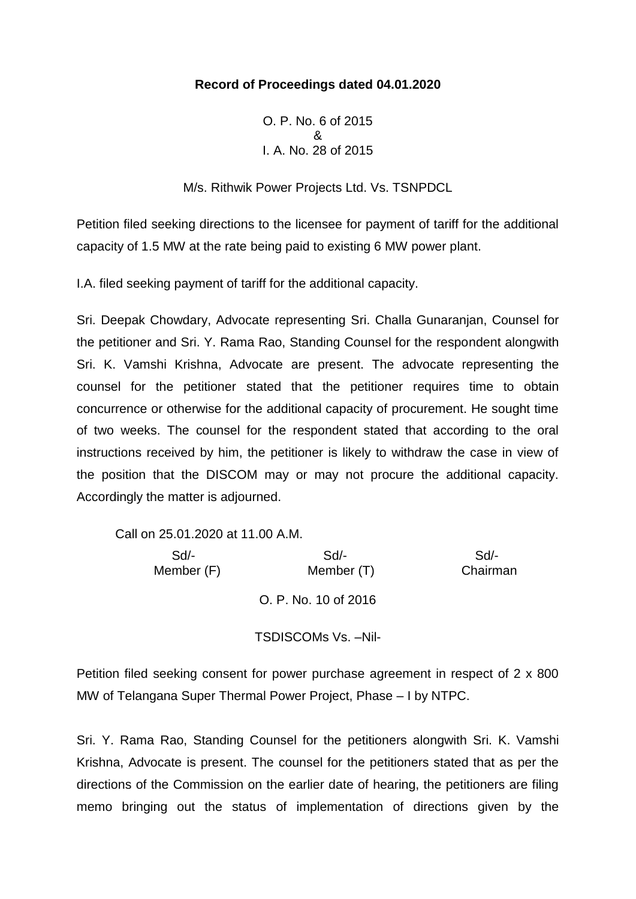## **Record of Proceedings dated 04.01.2020**

O. P. No. 6 of 2015 & I. A. No. 28 of 2015

M/s. Rithwik Power Projects Ltd. Vs. TSNPDCL

Petition filed seeking directions to the licensee for payment of tariff for the additional capacity of 1.5 MW at the rate being paid to existing 6 MW power plant.

I.A. filed seeking payment of tariff for the additional capacity.

Sri. Deepak Chowdary, Advocate representing Sri. Challa Gunaranjan, Counsel for the petitioner and Sri. Y. Rama Rao, Standing Counsel for the respondent alongwith Sri. K. Vamshi Krishna, Advocate are present. The advocate representing the counsel for the petitioner stated that the petitioner requires time to obtain concurrence or otherwise for the additional capacity of procurement. He sought time of two weeks. The counsel for the respondent stated that according to the oral instructions received by him, the petitioner is likely to withdraw the case in view of the position that the DISCOM may or may not procure the additional capacity. Accordingly the matter is adjourned.

Call on 25.01.2020 at 11.00 A.M.

 Sd/- Sd/- Sd/- Member (F) Member (T) Chairman O. P. No. 10 of 2016

TSDISCOMs Vs. –Nil-

Petition filed seeking consent for power purchase agreement in respect of 2 x 800 MW of Telangana Super Thermal Power Project, Phase – I by NTPC.

Sri. Y. Rama Rao, Standing Counsel for the petitioners alongwith Sri. K. Vamshi Krishna, Advocate is present. The counsel for the petitioners stated that as per the directions of the Commission on the earlier date of hearing, the petitioners are filing memo bringing out the status of implementation of directions given by the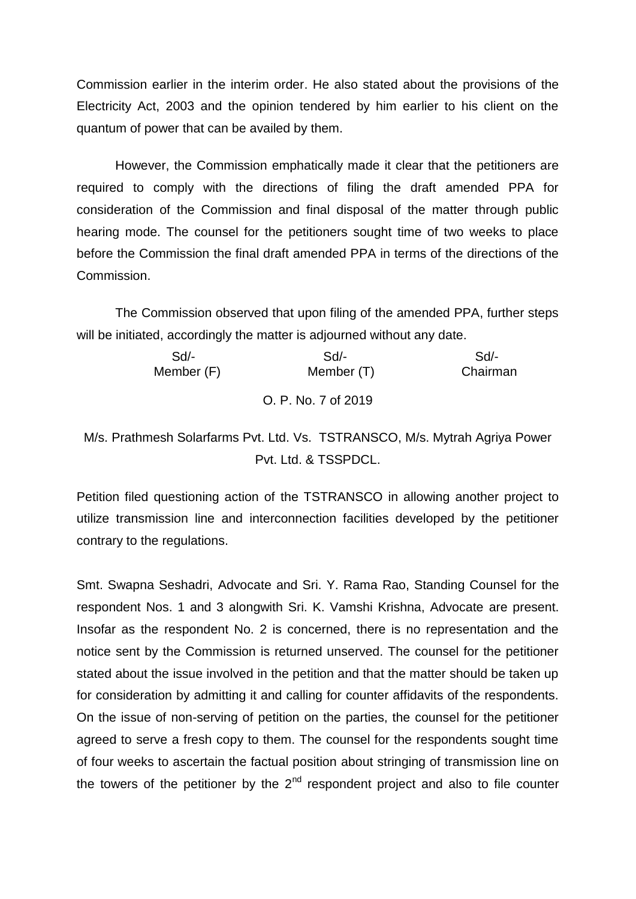Commission earlier in the interim order. He also stated about the provisions of the Electricity Act, 2003 and the opinion tendered by him earlier to his client on the quantum of power that can be availed by them.

However, the Commission emphatically made it clear that the petitioners are required to comply with the directions of filing the draft amended PPA for consideration of the Commission and final disposal of the matter through public hearing mode. The counsel for the petitioners sought time of two weeks to place before the Commission the final draft amended PPA in terms of the directions of the Commission.

The Commission observed that upon filing of the amended PPA, further steps will be initiated, accordingly the matter is adjourned without any date.

| Sd         | Sd                  | Sd       |
|------------|---------------------|----------|
| Member (F) | Member (T)          | Chairman |
|            | O. P. No. 7 of 2019 |          |

M/s. Prathmesh Solarfarms Pvt. Ltd. Vs. TSTRANSCO, M/s. Mytrah Agriya Power Pvt. Ltd. & TSSPDCL.

Petition filed questioning action of the TSTRANSCO in allowing another project to utilize transmission line and interconnection facilities developed by the petitioner contrary to the regulations.

Smt. Swapna Seshadri, Advocate and Sri. Y. Rama Rao, Standing Counsel for the respondent Nos. 1 and 3 alongwith Sri. K. Vamshi Krishna, Advocate are present. Insofar as the respondent No. 2 is concerned, there is no representation and the notice sent by the Commission is returned unserved. The counsel for the petitioner stated about the issue involved in the petition and that the matter should be taken up for consideration by admitting it and calling for counter affidavits of the respondents. On the issue of non-serving of petition on the parties, the counsel for the petitioner agreed to serve a fresh copy to them. The counsel for the respondents sought time of four weeks to ascertain the factual position about stringing of transmission line on the towers of the petitioner by the  $2<sup>nd</sup>$  respondent project and also to file counter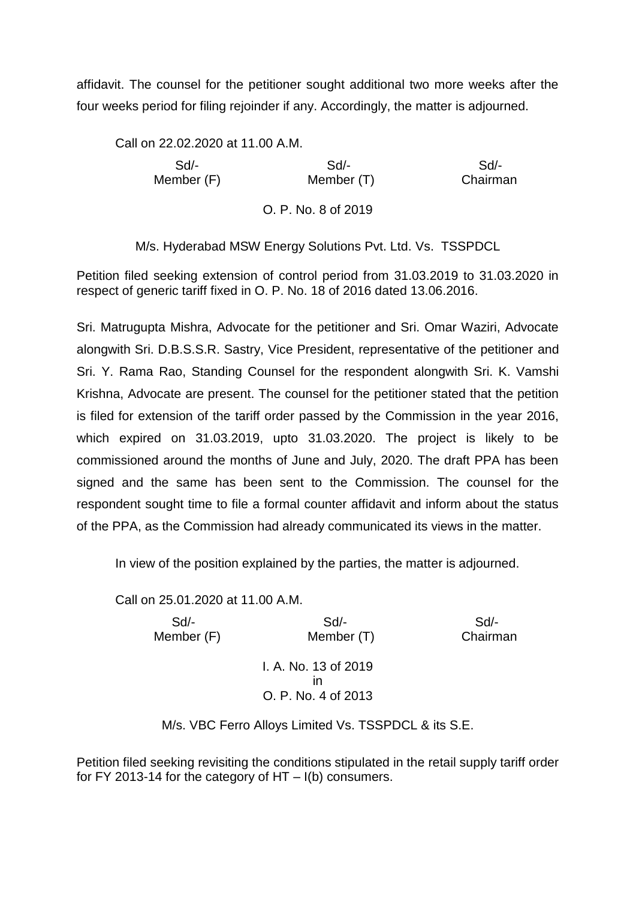affidavit. The counsel for the petitioner sought additional two more weeks after the four weeks period for filing rejoinder if any. Accordingly, the matter is adjourned.

Call on 22.02.2020 at 11.00 A.M. Sd/- Sd/- Sd/- Member (F) Member (T) Chairman O. P. No. 8 of 2019

M/s. Hyderabad MSW Energy Solutions Pvt. Ltd. Vs. TSSPDCL

Petition filed seeking extension of control period from 31.03.2019 to 31.03.2020 in respect of generic tariff fixed in O. P. No. 18 of 2016 dated 13.06.2016.

Sri. Matrugupta Mishra, Advocate for the petitioner and Sri. Omar Waziri, Advocate alongwith Sri. D.B.S.S.R. Sastry, Vice President, representative of the petitioner and Sri. Y. Rama Rao, Standing Counsel for the respondent alongwith Sri. K. Vamshi Krishna, Advocate are present. The counsel for the petitioner stated that the petition is filed for extension of the tariff order passed by the Commission in the year 2016, which expired on 31.03.2019, upto 31.03.2020. The project is likely to be commissioned around the months of June and July, 2020. The draft PPA has been signed and the same has been sent to the Commission. The counsel for the respondent sought time to file a formal counter affidavit and inform about the status of the PPA, as the Commission had already communicated its views in the matter.

In view of the position explained by the parties, the matter is adjourned.

Call on 25.01.2020 at 11.00 A.M.

 Sd/- Sd/- Sd/- Member (F) Member (T) Chairman I. A. No. 13 of 2019 in O. P. No. 4 of 2013

M/s. VBC Ferro Alloys Limited Vs. TSSPDCL & its S.E.

Petition filed seeking revisiting the conditions stipulated in the retail supply tariff order for FY 2013-14 for the category of HT – I(b) consumers.